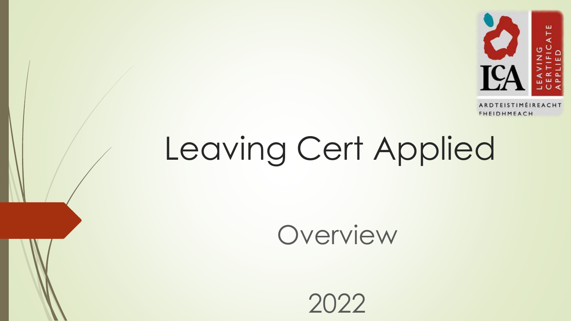

# Leaving Cert Applied

Overview

2022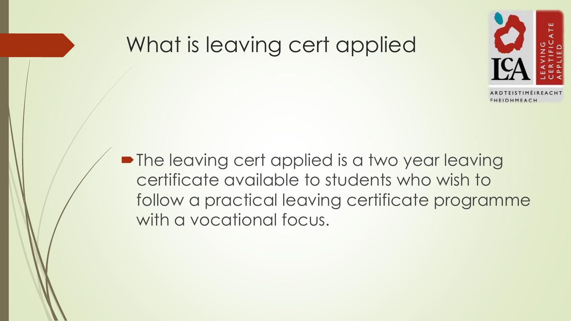### What is leaving cert applied



• The leaving cert applied is a two year leaving certificate available to students who wish to follow a practical leaving certificate programme with a vocational focus.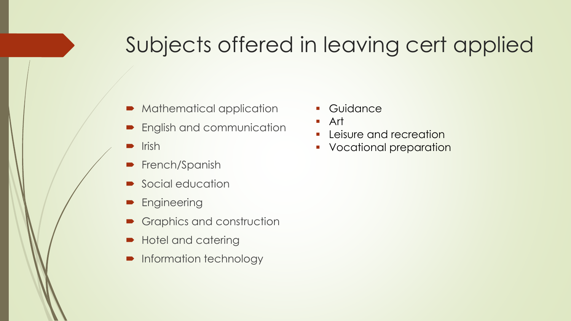### Subjects offered in leaving cert applied

- Mathematical application
- **English and communication**
- $\blacksquare$  Irish
- **French/Spanish**
- Social education
- **Engineering**
- Graphics and construction
- Hotel and catering
- Information technology
- Guidance
- Art
- **Leisure and recreation**
- **•** Vocational preparation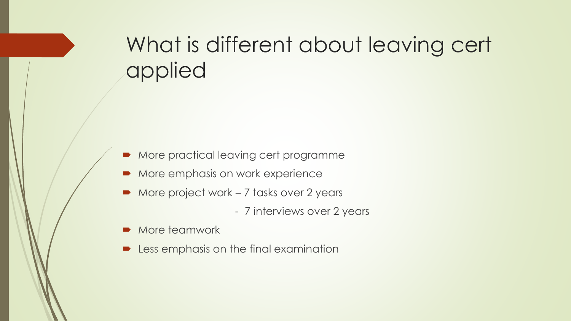## What is different about leaving cert applied

- More practical leaving cert programme
- More emphasis on work experience
- More project work 7 tasks over 2 years
	- 7 interviews over 2 years
- More teamwork
- Less emphasis on the final examination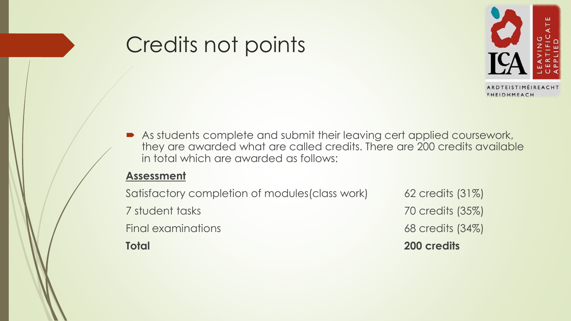### Credits not points



 As students complete and submit their leaving cert applied coursework, they are awarded what are called credits. There are 200 credits available in total which are awarded as follows:

#### **Assessment**

Satisfactory completion of modules(class work) 62 credits (31%) 7 student tasks 70 credits (35%) Final examinations 68 credits (34%) **Total 200 credits**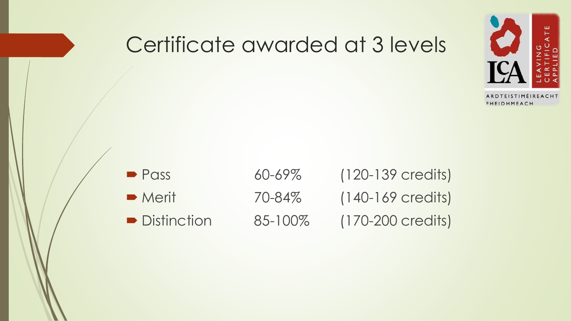

### Certificate awarded at 3 levels

■ Pass 60-69% (120-139 credits) ■ Merit 70-84% (140-169 credits) ■ Distinction 85-100% (170-200 credits)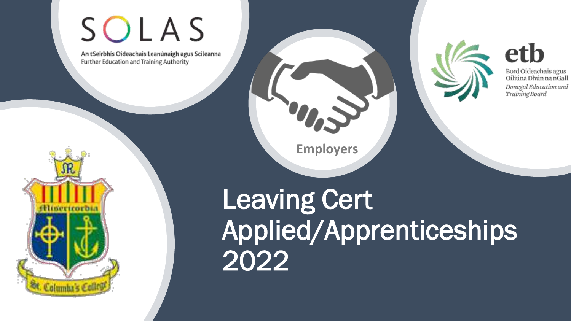# SOLAS

An tSeirbhís Oideachais Leanúnaigh agus Scileanna Further Education and Training Authority



**Employers**



etb Bord Oideachais agus

Oiliúna Dhún na nGall Donegal Education and Training Board



Leaving Cert Applied/Apprenticeships 2022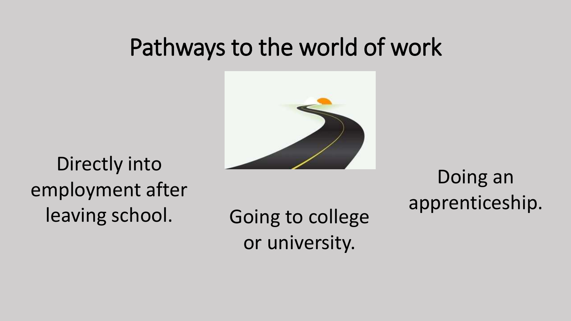## Pathways to the world of work



Directly into employment after

leaving school. Going to college or university.

Doing an apprenticeship.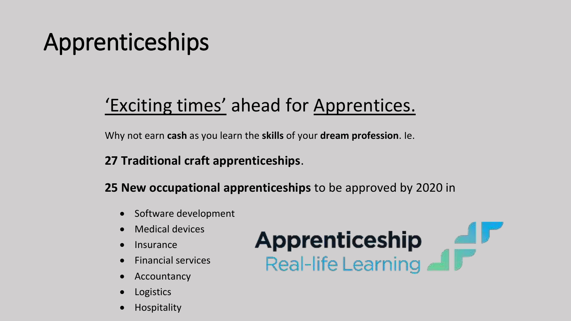# Apprenticeships

### 'Exciting times' ahead for Apprentices.

Why not earn **cash** as you learn the **skills** of your **dream profession**. Ie.

#### **27 Traditional craft apprenticeships**.

**25 New occupational apprenticeships** to be approved by 2020 in

- Software development
- Medical devices
- Insurance
- Financial services
- Accountancy
- Logistics
- Hospitality